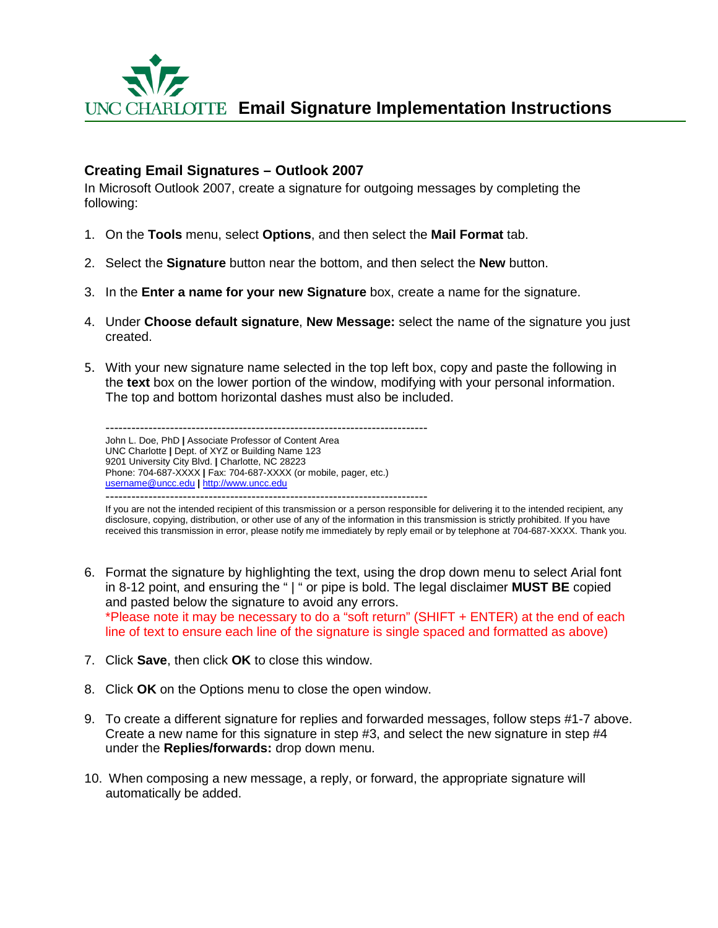

### **Creating Email Signatures – Outlook 2007**

In Microsoft Outlook 2007, create a signature for outgoing messages by completing the following:

- 1. On the **Tools** menu, select **Options**, and then select the **Mail Format** tab.
- 2. Select the **Signature** button near the bottom, and then select the **New** button.
- 3. In the **Enter a name for your new Signature** box, create a name for the signature.
- 4. Under **Choose default signature**, **New Message:** select the name of the signature you just created.
- 5. With your new signature name selected in the top left box, copy and paste the following in the **text** box on the lower portion of the window, modifying with your personal information. The top and bottom horizontal dashes must also be included.

--------------------------------------------------------------------------- John L. Doe, PhD **|** Associate Professor of Content Area UNC Charlotte **|** Dept. of XYZ or Building Name 123 9201 University City Blvd. **|** Charlotte, NC 28223 Phone: 704-687-XXXX **|** Fax: 704-687-XXXX (or mobile, pager, etc.) [username@uncc.edu](mailto:username@uncc.edu) **|** [http://www.uncc.edu](http://www.uncc.edu/) ---------------------------------------------------------------------------

If you are not the intended recipient of this transmission or a person responsible for delivering it to the intended recipient, any disclosure, copying, distribution, or other use of any of the information in this transmission is strictly prohibited. If you have received this transmission in error, please notify me immediately by reply email or by telephone at 704-687-XXXX. Thank you.

- 6. Format the signature by highlighting the text, using the drop down menu to select Arial font in 8-12 point, and ensuring the " | " or pipe is bold. The legal disclaimer **MUST BE** copied and pasted below the signature to avoid any errors. \*Please note it may be necessary to do a "soft return" (SHIFT + ENTER) at the end of each line of text to ensure each line of the signature is single spaced and formatted as above)
- 7. Click **Save**, then click **OK** to close this window.
- 8. Click **OK** on the Options menu to close the open window.
- 9. To create a different signature for replies and forwarded messages, follow steps #1-7 above. Create a new name for this signature in step #3, and select the new signature in step #4 under the **Replies/forwards:** drop down menu.
- 10. When composing a new message, a reply, or forward, the appropriate signature will automatically be added.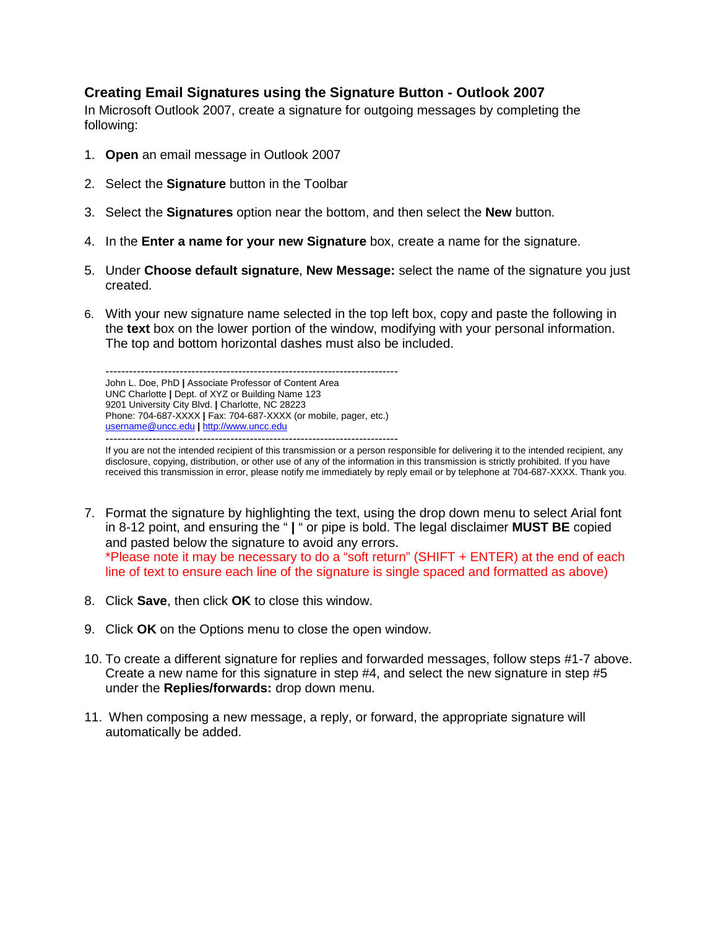## **Creating Email Signatures using the Signature Button - Outlook 2007**

In Microsoft Outlook 2007, create a signature for outgoing messages by completing the following:

- 1. **Open** an email message in Outlook 2007
- 2. Select the **Signature** button in the Toolbar
- 3. Select the **Signatures** option near the bottom, and then select the **New** button.
- 4. In the **Enter a name for your new Signature** box, create a name for the signature.
- 5. Under **Choose default signature**, **New Message:** select the name of the signature you just created.
- 6. With your new signature name selected in the top left box, copy and paste the following in the **text** box on the lower portion of the window, modifying with your personal information. The top and bottom horizontal dashes must also be included.

--------------------------------------------------------------------------- John L. Doe, PhD **|** Associate Professor of Content Area UNC Charlotte **|** Dept. of XYZ or Building Name 123 9201 University City Blvd. **|** Charlotte, NC 28223 Phone: 704-687-XXXX **|** Fax: 704-687-XXXX (or mobile, pager, etc.) [username@uncc.edu](mailto:username@uncc.edu) **|** [http://www.uncc.edu](http://www.uncc.edu/) ---------------------------------------------------------------------------

If you are not the intended recipient of this transmission or a person responsible for delivering it to the intended recipient, any disclosure, copying, distribution, or other use of any of the information in this transmission is strictly prohibited. If you have received this transmission in error, please notify me immediately by reply email or by telephone at 704-687-XXXX. Thank you.

- 7. Format the signature by highlighting the text, using the drop down menu to select Arial font in 8-12 point, and ensuring the " **|** " or pipe is bold. The legal disclaimer **MUST BE** copied and pasted below the signature to avoid any errors. \*Please note it may be necessary to do a "soft return" (SHIFT + ENTER) at the end of each line of text to ensure each line of the signature is single spaced and formatted as above)
- 8. Click **Save**, then click **OK** to close this window.
- 9. Click **OK** on the Options menu to close the open window.
- 10. To create a different signature for replies and forwarded messages, follow steps #1-7 above. Create a new name for this signature in step #4, and select the new signature in step #5 under the **Replies/forwards:** drop down menu.
- 11. When composing a new message, a reply, or forward, the appropriate signature will automatically be added.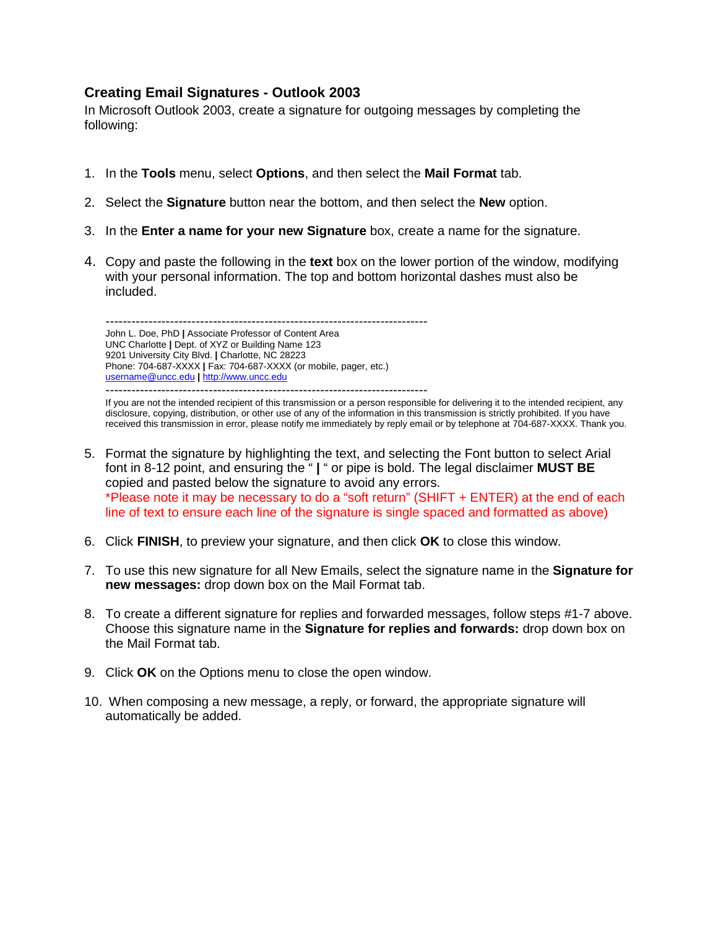### **Creating Email Signatures - Outlook 2003**

In Microsoft Outlook 2003, create a signature for outgoing messages by completing the following:

- 1. In the **Tools** menu, select **Options**, and then select the **Mail Format** tab.
- 2. Select the **Signature** button near the bottom, and then select the **New** option.
- 3. In the **Enter a name for your new Signature** box, create a name for the signature.
- 4. Copy and paste the following in the **text** box on the lower portion of the window, modifying with your personal information. The top and bottom horizontal dashes must also be included.

--------------------------------------------------------------------------- John L. Doe, PhD **|** Associate Professor of Content Area UNC Charlotte **|** Dept. of XYZ or Building Name 123 9201 University City Blvd. **|** Charlotte, NC 28223 Phone: 704-687-XXXX **|** Fax: 704-687-XXXX (or mobile, pager, etc.) [username@uncc.edu](mailto:username@uncc.edu) **|** [http://www.uncc.edu](http://www.uncc.edu/)

--------------------------------------------------------------------------- If you are not the intended recipient of this transmission or a person responsible for delivering it to the intended recipient, any disclosure, copying, distribution, or other use of any of the information in this transmission is strictly prohibited. If you have received this transmission in error, please notify me immediately by reply email or by telephone at 704-687-XXXX. Thank you.

- 5. Format the signature by highlighting the text, and selecting the Font button to select Arial font in 8-12 point, and ensuring the " **|** " or pipe is bold. The legal disclaimer **MUST BE** copied and pasted below the signature to avoid any errors. \*Please note it may be necessary to do a "soft return" (SHIFT + ENTER) at the end of each line of text to ensure each line of the signature is single spaced and formatted as above)
- 6. Click **FINISH**, to preview your signature, and then click **OK** to close this window.
- 7. To use this new signature for all New Emails, select the signature name in the **Signature for new messages:** drop down box on the Mail Format tab.
- 8. To create a different signature for replies and forwarded messages, follow steps #1-7 above. Choose this signature name in the **Signature for replies and forwards:** drop down box on the Mail Format tab.
- 9. Click **OK** on the Options menu to close the open window.
- 10. When composing a new message, a reply, or forward, the appropriate signature will automatically be added.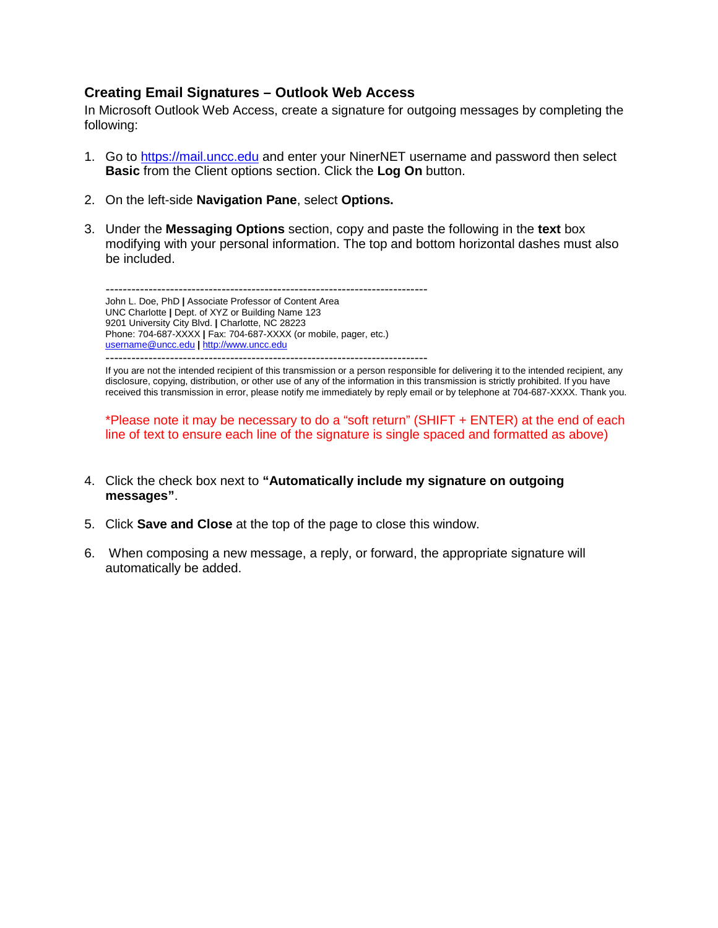### **Creating Email Signatures – Outlook Web Access**

In Microsoft Outlook Web Access, create a signature for outgoing messages by completing the following:

- 1. Go to [https://mail.uncc.edu](https://mail.uncc.edu/) and enter your NinerNET username and password then select **Basic** from the Client options section. Click the **Log On** button.
- 2. On the left-side **Navigation Pane**, select **Options.**
- 3. Under the **Messaging Options** section, copy and paste the following in the **text** box modifying with your personal information. The top and bottom horizontal dashes must also be included.

--------------------------------------------------------------------------- John L. Doe, PhD **|** Associate Professor of Content Area UNC Charlotte **|** Dept. of XYZ or Building Name 123 9201 University City Blvd. **|** Charlotte, NC 28223 Phone: 704-687-XXXX **|** Fax: 704-687-XXXX (or mobile, pager, etc.) [username@uncc.edu](mailto:username@uncc.edu) **|** [http://www.uncc.edu](http://www.uncc.edu/) ---------------------------------------------------------------------------

If you are not the intended recipient of this transmission or a person responsible for delivering it to the intended recipient, any disclosure, copying, distribution, or other use of any of the information in this transmission is strictly prohibited. If you have received this transmission in error, please notify me immediately by reply email or by telephone at 704-687-XXXX. Thank you.

\*Please note it may be necessary to do a "soft return" (SHIFT + ENTER) at the end of each line of text to ensure each line of the signature is single spaced and formatted as above)

- 4. Click the check box next to **"Automatically include my signature on outgoing messages"**.
- 5. Click **Save and Close** at the top of the page to close this window.
- 6. When composing a new message, a reply, or forward, the appropriate signature will automatically be added.